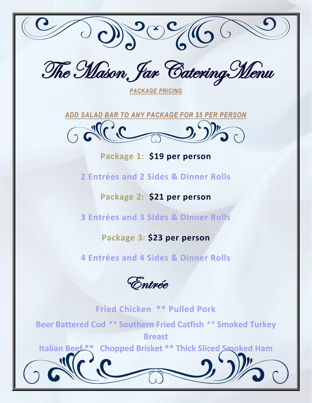

The Mason, Jar Catering Menu

*PACKAGE PRICING*



**Package 1: \$19 per person**

**2 Entrées and 2 Sides & Dinner Rolls**

**Package 2: \$21 per person**

**3 Entrées and 3 Sides & Dinner Rolls**

#### **Package 3: \$23 per person**

**4 Entrées and 4 Sides & Dinner Rolls**

Entrée

**Fried Chicken \*\* Pulled Pork Beer Battered Cod** *\*\** **Southern Fried Catfish** *\*\** **Smoked Turkey Breast Italian Beef \*\* Chopped Brisket \*\* Thick Sliced Smoked Ham**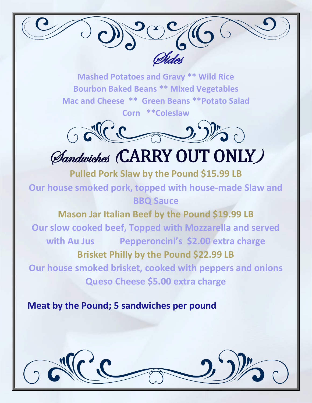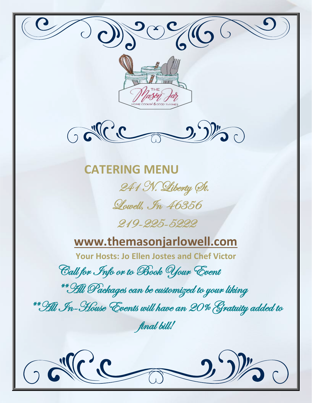

 $\bigcirc$ 



 **CATERING MENU** 241 N. Liberty St. Lowell, In 46356

## 219-225-5222

## **[www.themasonjarlowell.com](http://www.themasonjarlowell.com/)**

**Your Hosts: Jo Ellen Jostes and Chef Victor**

Call for Info or to Book Your Event

\*\*All Packages can be customized to your liking

\*\*All In-House Events will have an 20% Gratuity added to

final bill!

 $\overline{\phantom{a}}$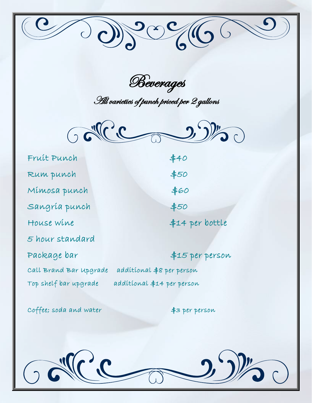Beverages

001900666

All varieties of punch priced per 2 gallons



| Fruit Punch            | #40                        |
|------------------------|----------------------------|
| Rum punch              | \$50                       |
| Mímosa punch           | \$60                       |
| Sangría punch          | \$50                       |
| House wine             | \$14 per bottle            |
| 5 hour standard        |                            |
| Package bar            | \$15 per person            |
| Call Brand Bar upgrade | additional \$8 per person  |
| Top shelf bar upgrade  | additional \$14 per person |

coffee; soda and water  $\qquad$  \$3 per person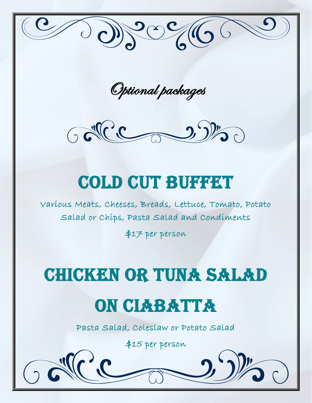

Optional packages



# COLD CUT BUFFET

Various Meats, Cheeses, Breads, Lettuce, Tomato, Potato Salad or Chips, Pasta Salad and Condiments

\$17 per person

# Chicken or tuna salad

## On ciabatta

Pasta Salad, Coleslaw or Potato Salad

\$15 per person

i<br>I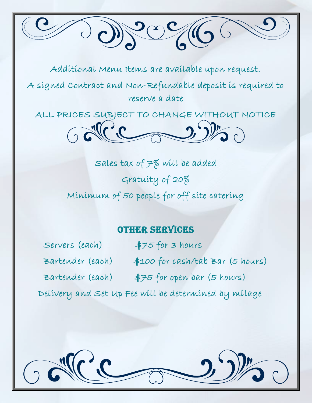

Additional Menu Items are available upon request.

A signed Contract and Non-Refundable deposit is required to reserve a date

ALL PRICES SUBJECT TO CHANGE WITHOUT NOTICE



Sales tax of 7% will be added Gratuity of 20% Minimum of 50 people for off site catering

#### **OTHER SERVICES**

Servers (each) \$75 for 3 hours

Bartender (each) \$100 for cash/tab Bar (5 hours)

Bartender (each) \$75 for open bar (5 hours)

Delivery and Set Up Fee will be determined by milage